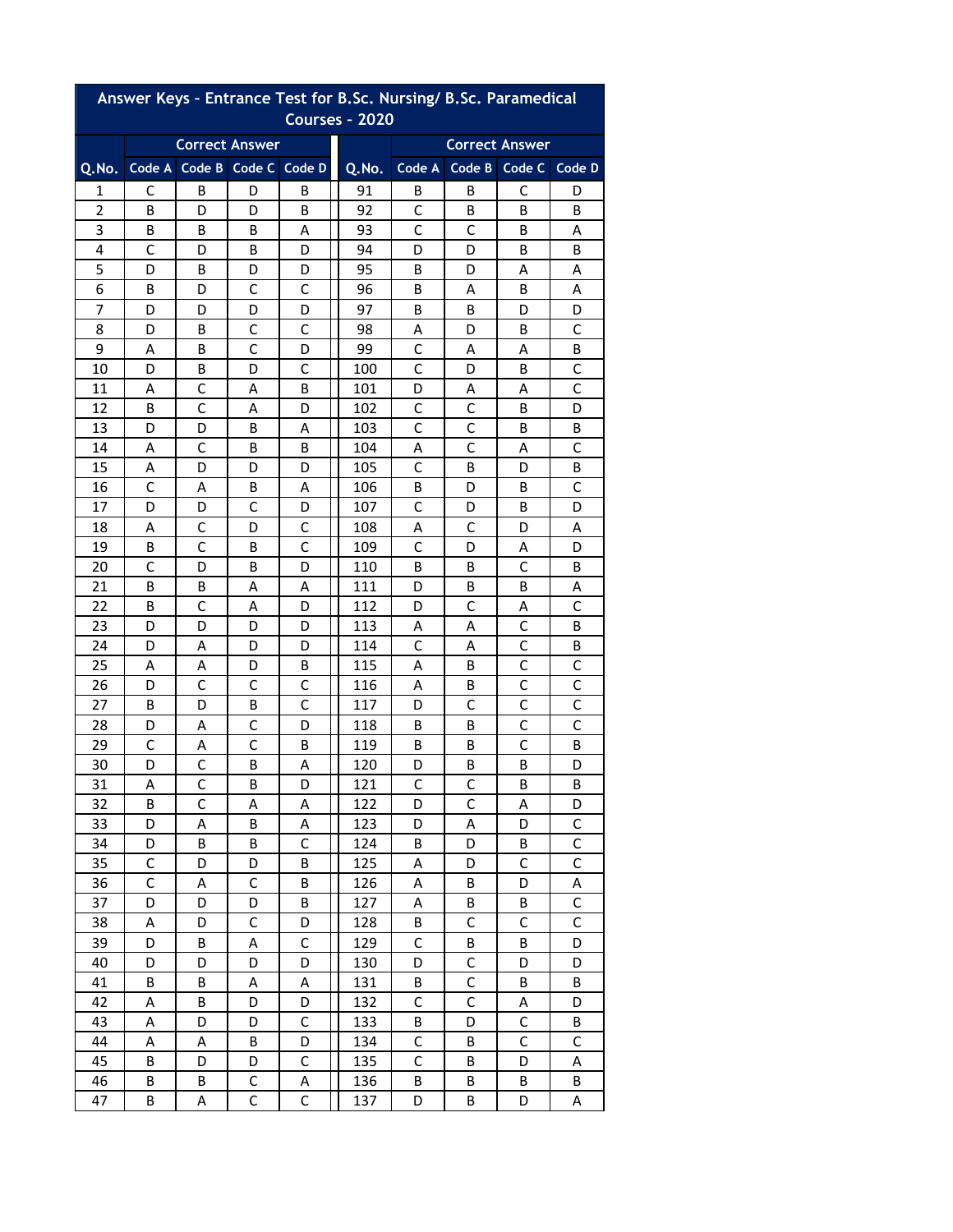| Answer Keys - Entrance Test for B.Sc. Nursing/ B.Sc. Paramedical<br><b>Courses - 2020</b> |                   |                       |              |             |                       |              |                   |              |                |  |  |  |
|-------------------------------------------------------------------------------------------|-------------------|-----------------------|--------------|-------------|-----------------------|--------------|-------------------|--------------|----------------|--|--|--|
|                                                                                           |                   |                       |              |             |                       |              |                   |              |                |  |  |  |
|                                                                                           |                   | <b>Correct Answer</b> |              |             | <b>Correct Answer</b> |              |                   |              |                |  |  |  |
| Q.No.                                                                                     | Code A            | Code B Code C Code D  |              |             | Q.No.                 | Code A       | Code B            | Code C       | Code D         |  |  |  |
| 1                                                                                         | С                 | B                     | D            | В           | 91                    | B            | B                 | C            | D              |  |  |  |
| 2                                                                                         | B                 | D                     | D            | В           | 92                    | C            | B                 | B            | В              |  |  |  |
| 3                                                                                         | B                 | B                     | B            | Α           | 93                    | C            | C                 | В            | Α              |  |  |  |
| 4                                                                                         | C                 | D                     | B            | D           | 94                    | D            | D                 | B            | B              |  |  |  |
| 5                                                                                         | D                 | В                     | D            | D           | 95                    | B            | D                 | Α            | A              |  |  |  |
| 6                                                                                         | В                 | D                     | C            | С           | 96                    | B            | A                 | B            | Α              |  |  |  |
| 7                                                                                         | D                 | D                     | D            | D           | 97                    | В            | В                 | D            | D              |  |  |  |
| 8                                                                                         | D                 | В                     | C            | C           | 98                    | Α            | D                 | B            | $\mathsf{C}$   |  |  |  |
| 9                                                                                         | Α                 | В                     | C            | D           | 99                    | C            | Α                 | Α            | В              |  |  |  |
| 10                                                                                        | D                 | B                     | D            | С           | 100                   | С            | D                 | B            | C              |  |  |  |
| 11                                                                                        | A                 | C                     | A            | B           | 101                   | D            | Α                 | A            | C              |  |  |  |
| 12                                                                                        | B                 | C                     | A            | D           | 102                   | C            | C<br>$\mathsf{C}$ | B            | D              |  |  |  |
| 13                                                                                        | D                 | D                     | В            | Α           | 103                   | C            | C                 | B            | В              |  |  |  |
| 14<br>15                                                                                  | Α                 | C<br>D                | B<br>D       | B<br>D      | 104<br>105            | Α<br>C       | B                 | Α<br>D       | C<br>В         |  |  |  |
| 16                                                                                        | Α<br>$\mathsf{C}$ | Α                     | B            | A           | 106                   | B            | D                 | B            | C              |  |  |  |
| 17                                                                                        | D                 | D                     | С            | D           | 107                   | С            | D                 | B            | D              |  |  |  |
| 18                                                                                        | Α                 | C                     | D            | C           | 108                   | A            | C                 | D            | A              |  |  |  |
| 19                                                                                        | B                 | $\mathsf{C}$          | B            | C           | 109                   | С            | D                 | Α            | D              |  |  |  |
| 20                                                                                        | C                 | D                     | B            | D           | 110                   | B            | В                 | C            | В              |  |  |  |
| 21                                                                                        | B                 | В                     | Α            | Α           | 111                   | D            | В                 | B            | Α              |  |  |  |
| 22                                                                                        | B                 | $\mathsf{C}$          | Α            | D           | 112                   | D            | $\mathsf{C}$      | Α            | $\mathsf{C}$   |  |  |  |
| 23                                                                                        | D                 | D                     | D            | D           | 113                   | Α            | Α                 | С            | В              |  |  |  |
| 24                                                                                        | D                 | Α                     | D            | D           | 114                   | С            | Α                 | C            | B              |  |  |  |
| 25                                                                                        | A                 | Α                     | D            | B           | 115                   | A            | B                 | C            | C              |  |  |  |
| 26                                                                                        | D                 | $\mathsf{C}$          | C            | C           | 116                   | А            | В                 | C            | $\mathsf{C}$   |  |  |  |
| 27                                                                                        | В                 | D                     | В            | C           | 117                   | D            | C                 | C            | $\mathsf C$    |  |  |  |
| 28                                                                                        | D                 | A                     | C            | D           | 118                   | B            | B                 | $\mathsf C$  | С              |  |  |  |
| 29                                                                                        | C                 | Α                     | C            | B           | 119                   | В            | В                 | $\mathsf C$  | В              |  |  |  |
| 30                                                                                        | D                 | C                     | В            | A           | 120                   | D            | В                 | В            | D              |  |  |  |
| 31                                                                                        | Α                 | $\mathsf{C}$          | B            | D           | 121                   | $\mathsf C$  | $\mathsf{C}$      | B            | B              |  |  |  |
| 32                                                                                        | B                 | $\mathsf{C}$          | Α            | Α           | 122                   | D            | $\mathsf{C}$      | А            | D              |  |  |  |
| 33                                                                                        | D                 | A                     | В            | Α           | 123                   | D            | Α                 | D            | $\mathsf C$    |  |  |  |
| 34                                                                                        | D                 | B                     | B            | C           | 124                   | B            | D                 | B            | $\mathsf C$    |  |  |  |
| 35                                                                                        | $\mathsf C$       | D                     | D            | B           | 125                   | Α            | D                 | $\mathsf{C}$ | $\overline{C}$ |  |  |  |
| 36                                                                                        | $\mathsf{C}$      | Α                     | C            | B           | 126                   | Α            | В                 | D            | A              |  |  |  |
| 37                                                                                        | D                 | D                     | D            | B           | 127                   | Α            | В                 | B            | $\mathsf C$    |  |  |  |
| 38                                                                                        | A                 | D                     | $\mathsf{C}$ | D           | 128                   | B            | $\mathsf{C}$      | $\mathsf{C}$ | $\overline{C}$ |  |  |  |
| 39                                                                                        | D                 | B                     | А            | $\mathsf C$ | 129                   | $\mathsf C$  | В                 | В            | D              |  |  |  |
| 40                                                                                        | D                 | D                     | D            | D           | 130                   | D            | C                 | D            | D              |  |  |  |
| 41                                                                                        | B                 | B                     | A            | Α           | 131                   | B            | $\mathsf{C}$      | B            | B              |  |  |  |
| 42                                                                                        | Α                 | В                     | D            | D           | 132                   | C            | $\mathsf C$       | Α            | D              |  |  |  |
| 43                                                                                        | А                 | D                     | D            | C           | 133                   | В            | D                 | $\mathsf C$  | В              |  |  |  |
| 44                                                                                        | Α                 | А                     | B            | D           | 134                   | $\mathsf C$  | В                 | $\mathsf{C}$ | $\mathsf{C}$   |  |  |  |
| 45                                                                                        | B                 | D                     | D            | $\mathsf C$ | 135                   | $\mathsf{C}$ | В                 | D            | A              |  |  |  |
| 46                                                                                        | В                 | В                     | С            | Α           | 136                   | B            | В                 | В            | В              |  |  |  |
| 47                                                                                        | В                 | Α                     | C            | C           | 137                   | D            | В                 | D            | Α              |  |  |  |